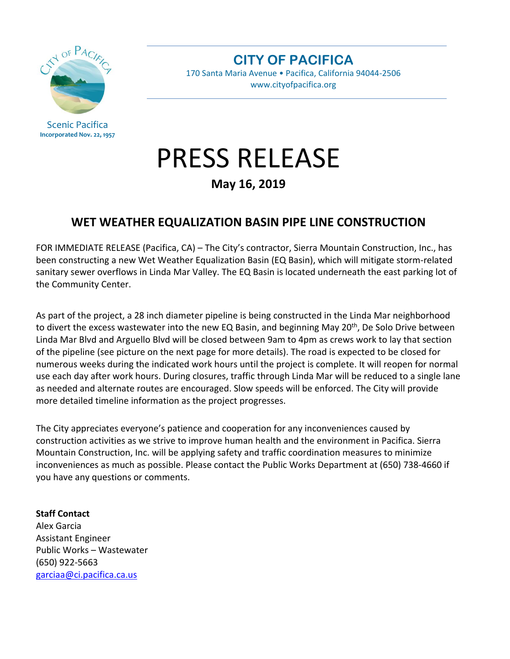

Scenic Pacifica **Incorporated Nov. 22, 1957** **CITY OF PACIFICA**

170 Santa Maria Avenue • Pacifica, California 94044-2506 www.cityofpacifica.org

## PRESS RELEASE

**May 16, 2019**

## **WET WEATHER EQUALIZATION BASIN PIPE LINE CONSTRUCTION**

FOR IMMEDIATE RELEASE (Pacifica, CA) – The City's contractor, Sierra Mountain Construction, Inc., has been constructing a new Wet Weather Equalization Basin (EQ Basin), which will mitigate storm-related sanitary sewer overflows in Linda Mar Valley. The EQ Basin is located underneath the east parking lot of the Community Center.

As part of the project, a 28 inch diameter pipeline is being constructed in the Linda Mar neighborhood to divert the excess wastewater into the new EQ Basin, and beginning May  $20<sup>th</sup>$ , De Solo Drive between Linda Mar Blvd and Arguello Blvd will be closed between 9am to 4pm as crews work to lay that section of the pipeline (see picture on the next page for more details). The road is expected to be closed for numerous weeks during the indicated work hours until the project is complete. It will reopen for normal use each day after work hours. During closures, traffic through Linda Mar will be reduced to a single lane as needed and alternate routes are encouraged. Slow speeds will be enforced. The City will provide more detailed timeline information as the project progresses.

The City appreciates everyone's patience and cooperation for any inconveniences caused by construction activities as we strive to improve human health and the environment in Pacifica. Sierra Mountain Construction, Inc. will be applying safety and traffic coordination measures to minimize inconveniences as much as possible. Please contact the Public Works Department at (650) 738-4660 if you have any questions or comments.

## **Staff Contact**

Alex Garcia Assistant Engineer Public Works – Wastewater (650) 922-5663 [garciaa@ci.pacifica.ca.us](mailto:garciaa@ci.pacifica.ca.us)